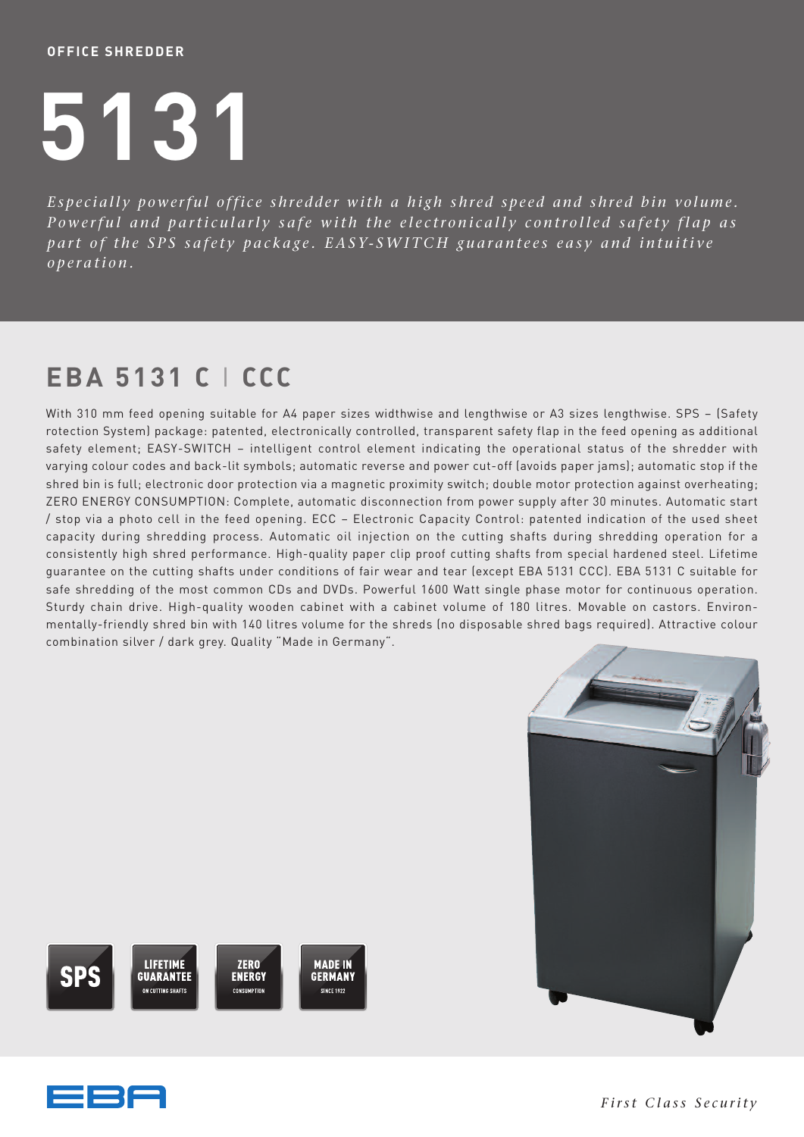## **OFFICE SHREDDER**

## **5131**

Especially powerful office shredder with a high shred speed and shred bin volume. Powerful and particularly safe with the electronically controlled safety flap as part of the SPS safety package. EASY-SWITCH guarantees easy and intuitive *o p e r a ti o n .*

## **EBA 5131 C** I **CCC**

With 310 mm feed opening suitable for A4 paper sizes widthwise and lengthwise or A3 sizes lengthwise. SPS – (Safety rotection System) package: patented, electronically controlled, transparent safety flap in the feed opening as additional safety element; EASY-SWITCH – intelligent control element indicating the operational status of the shredder with varying colour codes and back-lit symbols; automatic reverse and power cut-off (avoids paper jams); automatic stop if the shred bin is full; electronic door protection via a magnetic proximity switch; double motor protection against overheating; ZERO ENERGY CONSUMPTION: Complete, automatic disconnection from power supply after 30 minutes. Automatic start / stop via a photo cell in the feed opening. ECC – Electronic Capacity Control: patented indication of the used sheet capacity during shredding process. Automatic oil injection on the cutting shafts during shredding operation for a consistently high shred performance. High-quality paper clip proof cutting shafts from special hardened steel. Lifetime guarantee on the cutting shafts under conditions of fair wear and tear (except EBA 5131 CCC). EBA 5131 C suitable for safe shredding of the most common CDs and DVDs. Powerful 1600 Watt single phase motor for continuous operation. Sturdy chain drive. High-quality wooden cabinet with a cabinet volume of 180 litres. Movable on castors. Environmentally-friendly shred bin with 140 litres volume for the shreds (no disposable shred bags required). Attractive colour combination silver / dark grey. Quality "Made in Germany".